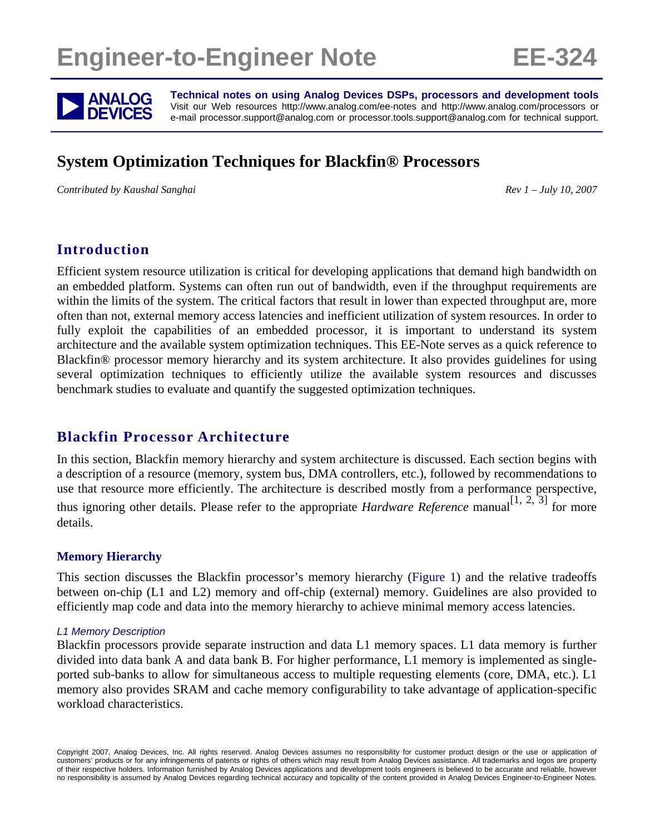# **Engineer-to-Engineer Note EE-324**



**ANALOG** Technical notes on using Analog Devices DSPs, processors and development tools<br>DEVICES visit our Web resources http://www.analog.com/ee-notes and http://www.analog.com/processors or<br>DEVICES e-mail processor.suppor Visit our Web resources http://www.analog.com/ee-notes and http://www.analog.com/processors or e-mail processor.support@analog.com or processor.tools.support@analog.com for technical support.

# **System Optimization Techniques for Blackfin® Processors**

*Contributed by Kaushal Sanghai Rev 1 – July 10, 2007* 

## **Introduction**

Efficient system resource utilization is critical for developing applications that demand high bandwidth on an embedded platform. Systems can often run out of bandwidth, even if the throughput requirements are within the limits of the system. The critical factors that result in lower than expected throughput are, more often than not, external memory access latencies and inefficient utilization of system resources. In order to fully exploit the capabilities of an embedded processor, it is important to understand its system architecture and the available system optimization techniques. This EE-Note serves as a quick reference to Blackfin® processor memory hierarchy and its system architecture. It also provides guidelines for using several optimization techniques to efficiently utilize the available system resources and discusses benchmark studies to evaluate and quantify the suggested optimization techniques.

## **Blackfin Processor Architecture**

In this section, Blackfin memory hierarchy and system architecture is discussed. Each section begins with a description of a resource (memory, system bus, DMA controllers, etc.), followed by recommendations to use that resource more efficiently. The architecture is described mostly from a performance perspective, thus ignoring other details. Please refer to the appropriate *Hardware Reference* manual<sup>[1, 2, 3] for more</sup> details.

#### **Memory Hierarchy**

This section discusses the Blackfin processor's memory hierarchy [\(Figure 1](#page-1-0)) and the relative tradeoffs between on-chip (L1 and L2) memory and off-chip (external) memory. Guidelines are also provided to efficiently map code and data into the memory hierarchy to achieve minimal memory access latencies.

#### *L1 Memory Description*

Blackfin processors provide separate instruction and data L1 memory spaces. L1 data memory is further divided into data bank A and data bank B. For higher performance, L1 memory is implemented as singleported sub-banks to allow for simultaneous access to multiple requesting elements (core, DMA, etc.). L1 memory also provides SRAM and cache memory configurability to take advantage of application-specific workload characteristics.

Copyright 2007, Analog Devices, Inc. All rights reserved. Analog Devices assumes no responsibility for customer product design or the use or application of customers' products or for any infringements of patents or rights of others which may result from Analog Devices assistance. All trademarks and logos are property of their respective holders. Information furnished by Analog Devices applications and development tools engineers is believed to be accurate and reliable, however no responsibility is assumed by Analog Devices regarding technical accuracy and topicality of the content provided in Analog Devices Engineer-to-Engineer Notes.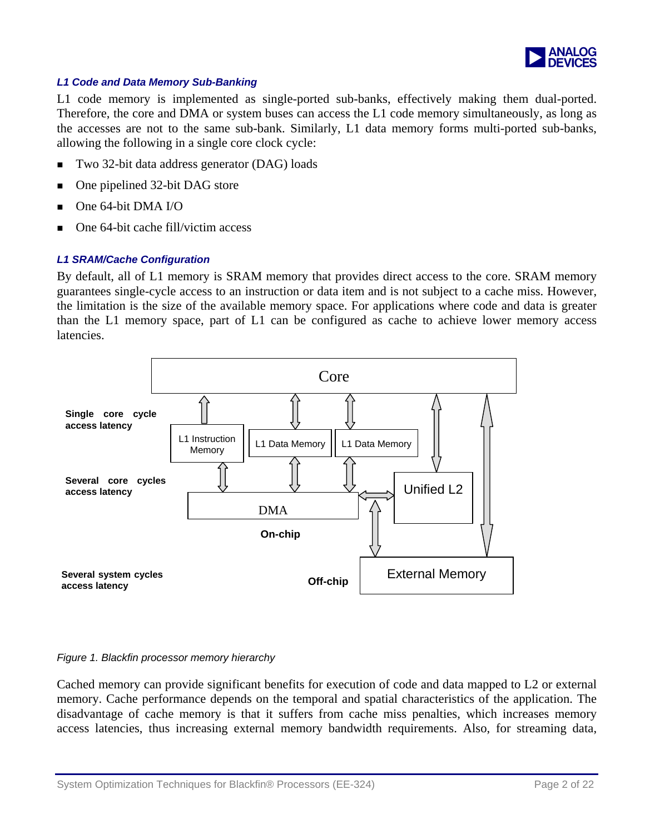

#### <span id="page-1-0"></span>*L1 Code and Data Memory Sub-Banking*

L1 code memory is implemented as single-ported sub-banks, effectively making them dual-ported. Therefore, the core and DMA or system buses can access the L1 code memory simultaneously, as long as the accesses are not to the same sub-bank. Similarly, L1 data memory forms multi-ported sub-banks, allowing the following in a single core clock cycle:

- Two 32-bit data address generator (DAG) loads
- One pipelined 32-bit DAG store
- One 64-bit DMA I/O
- One 64-bit cache fill/victim access

#### *L1 SRAM/Cache Configuration*

By default, all of L1 memory is SRAM memory that provides direct access to the core. SRAM memory guarantees single-cycle access to an instruction or data item and is not subject to a cache miss. However, the limitation is the size of the available memory space. For applications where code and data is greater than the L1 memory space, part of L1 can be configured as cache to achieve lower memory access latencies.



#### *Figure 1. Blackfin processor memory hierarchy*

Cached memory can provide significant benefits for execution of code and data mapped to L2 or external memory. Cache performance depends on the temporal and spatial characteristics of the application. The disadvantage of cache memory is that it suffers from cache miss penalties, which increases memory access latencies, thus increasing external memory bandwidth requirements. Also, for streaming data,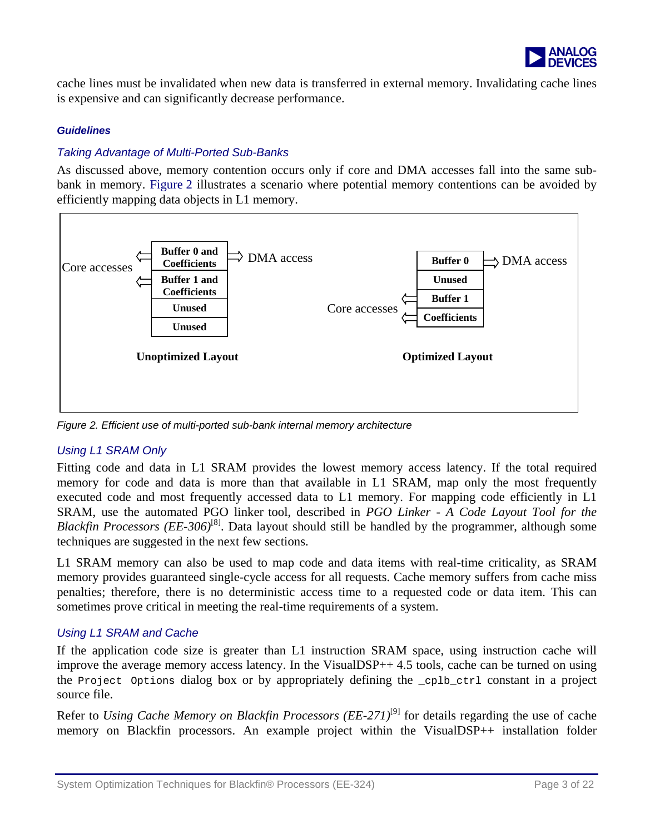

<span id="page-2-0"></span>cache lines must be invalidated when new data is transferred in external memory. Invalidating cache lines is expensive and can significantly decrease performance.

#### *Guidelines*

#### *Taking Advantage of Multi-Ported Sub-Banks*

As discussed above, memory contention occurs only if core and DMA accesses fall into the same subbank in memory. [Figure 2](#page-2-0) illustrates a scenario where potential memory contentions can be avoided by efficiently mapping data objects in L1 memory.



*Figure 2. Efficient use of multi-ported sub-bank internal memory architecture* 

#### *Using L1 SRAM Only*

Fitting code and data in L1 SRAM provides the lowest memory access latency. If the total required memory for code and data is more than that available in L1 SRAM, map only the most frequently executed code and most frequently accessed data to L1 memory. For mapping code efficiently in L1 SRAM, use the automated PGO linker tool, described in *PGO Linker - A Code Layout Tool for the Blackfin Processors (EE-306)*[8]. Data layout should still be handled by the programmer, although some techniques are suggested in the next few sections.

L1 SRAM memory can also be used to map code and data items with real-time criticality, as SRAM memory provides guaranteed single-cycle access for all requests. Cache memory suffers from cache miss penalties; therefore, there is no deterministic access time to a requested code or data item. This can sometimes prove critical in meeting the real-time requirements of a system.

#### *Using L1 SRAM and Cache*

If the application code size is greater than L1 instruction SRAM space, using instruction cache will improve the average memory access latency. In the VisualDSP++ 4.5 tools, cache can be turned on using the Project Options dialog box or by appropriately defining the \_cplb\_ctrl constant in a project source file.

Refer to *Using Cache Memory on Blackfin Processors (EE-271)*<sup>[9]</sup> for details regarding the use of cache memory on Blackfin processors. An example project within the VisualDSP++ installation folder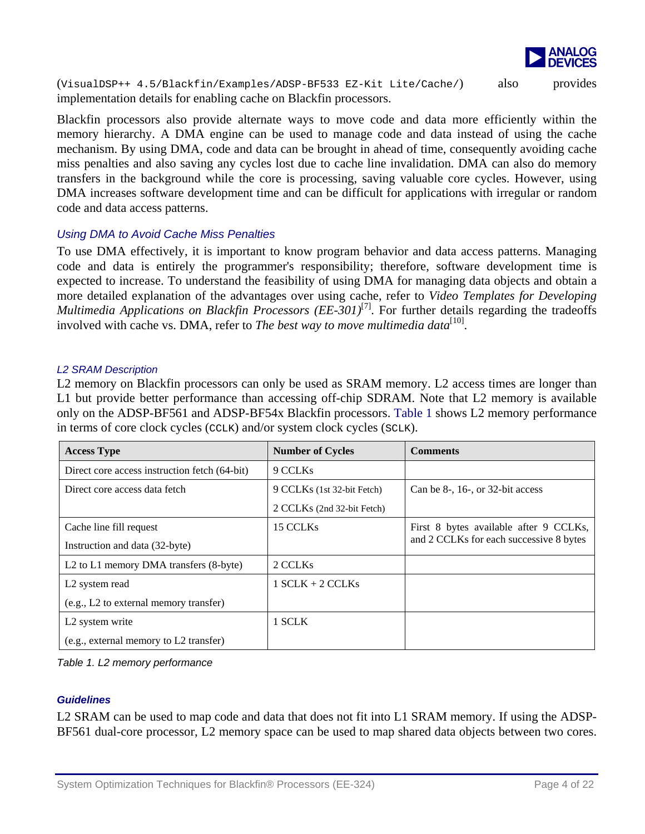

<span id="page-3-0"></span>(VisualDSP++ 4.5/Blackfin/Examples/ADSP-BF533 EZ-Kit Lite/Cache/) also provides implementation details for enabling cache on Blackfin processors.

Blackfin processors also provide alternate ways to move code and data more efficiently within the memory hierarchy. A DMA engine can be used to manage code and data instead of using the cache mechanism. By using DMA, code and data can be brought in ahead of time, consequently avoiding cache miss penalties and also saving any cycles lost due to cache line invalidation. DMA can also do memory transfers in the background while the core is processing, saving valuable core cycles. However, using DMA increases software development time and can be difficult for applications with irregular or random code and data access patterns.

#### *Using DMA to Avoid Cache Miss Penalties*

To use DMA effectively, it is important to know program behavior and data access patterns. Managing code and data is entirely the programmer's responsibility; therefore, software development time is expected to increase. To understand the feasibility of using DMA for managing data objects and obtain a more detailed explanation of the advantages over using cache, refer to *Video Templates for Developing Multimedia Applications on Blackfin Processors (EE-301)*<sup>[7]</sup>. For further details regarding the tradeoffs involved with cache vs. DMA, refer to *The best way to move multimedia data*<sup>[10]</sup>.

#### *L2 SRAM Description*

L2 memory on Blackfin processors can only be used as SRAM memory. L2 access times are longer than L1 but provide better performance than accessing off-chip SDRAM. Note that L2 memory is available only on the ADSP-BF561 and ADSP-BF54x Blackfin processors. [Table 1](#page-3-0) shows L2 memory performance in terms of core clock cycles (CCLK) and/or system clock cycles (SCLK).

| <b>Access Type</b>                                             | <b>Number of Cycles</b>    | <b>Comments</b>                         |
|----------------------------------------------------------------|----------------------------|-----------------------------------------|
| Direct core access instruction fetch (64-bit)                  | 9 CCLKs                    |                                         |
| Direct core access data fetch                                  | 9 CCLKs (1st 32-bit Fetch) | Can be $8-16$ , or 32-bit access        |
|                                                                | 2 CCLKs (2nd 32-bit Fetch) |                                         |
| Cache line fill request                                        | 15 CCLKs                   | First 8 bytes available after 9 CCLKs,  |
| Instruction and data (32-byte)                                 |                            | and 2 CCLKs for each successive 8 bytes |
| L <sub>2</sub> to L <sub>1</sub> memory DMA transfers (8-byte) | 2 CCLKs                    |                                         |
| L <sub>2</sub> system read                                     | $1$ SCLK + 2 CCLKs         |                                         |
| (e.g., L2 to external memory transfer)                         |                            |                                         |
| L <sub>2</sub> system write                                    | 1 SCLK                     |                                         |
| (e.g., external memory to L2 transfer)                         |                            |                                         |

*Table 1. L2 memory performance* 

#### *Guidelines*

L2 SRAM can be used to map code and data that does not fit into L1 SRAM memory. If using the ADSP-BF561 dual-core processor, L2 memory space can be used to map shared data objects between two cores.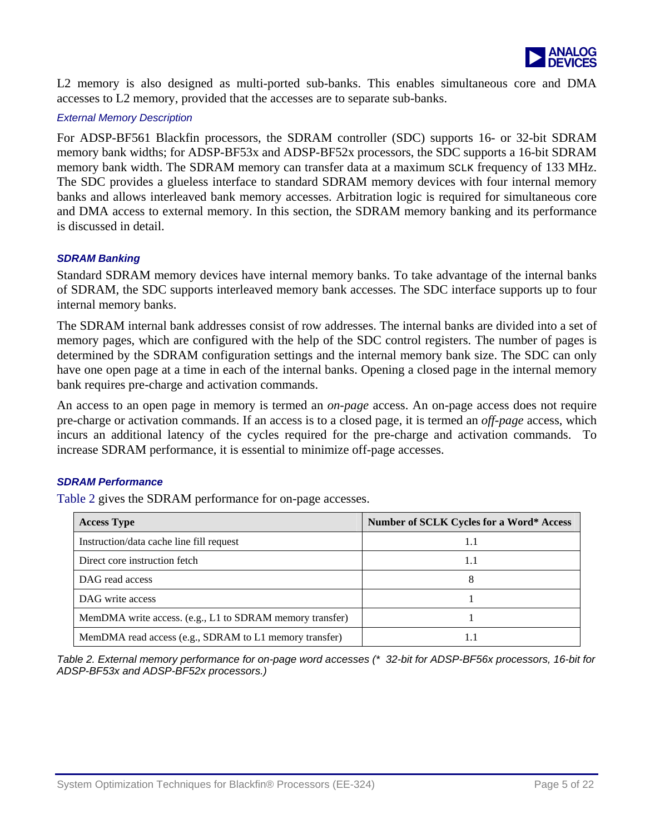

<span id="page-4-0"></span>L2 memory is also designed as multi-ported sub-banks. This enables simultaneous core and DMA accesses to L2 memory, provided that the accesses are to separate sub-banks.

#### *External Memory Description*

For ADSP-BF561 Blackfin processors, the SDRAM controller (SDC) supports 16- or 32-bit SDRAM memory bank widths; for ADSP-BF53x and ADSP-BF52x processors, the SDC supports a 16-bit SDRAM memory bank width. The SDRAM memory can transfer data at a maximum SCLK frequency of 133 MHz. The SDC provides a glueless interface to standard SDRAM memory devices with four internal memory banks and allows interleaved bank memory accesses. Arbitration logic is required for simultaneous core and DMA access to external memory. In this section, the SDRAM memory banking and its performance is discussed in detail.

#### *SDRAM Banking*

Standard SDRAM memory devices have internal memory banks. To take advantage of the internal banks of SDRAM, the SDC supports interleaved memory bank accesses. The SDC interface supports up to four internal memory banks.

The SDRAM internal bank addresses consist of row addresses. The internal banks are divided into a set of memory pages, which are configured with the help of the SDC control registers. The number of pages is determined by the SDRAM configuration settings and the internal memory bank size. The SDC can only have one open page at a time in each of the internal banks. Opening a closed page in the internal memory bank requires pre-charge and activation commands.

An access to an open page in memory is termed an *on-page* access. An on-page access does not require pre-charge or activation commands. If an access is to a closed page, it is termed an *off-page* access, which incurs an additional latency of the cycles required for the pre-charge and activation commands. To increase SDRAM performance, it is essential to minimize off-page accesses.

#### *SDRAM Performance*

[Table 2](#page-4-0) gives the SDRAM performance for on-page accesses.

| <b>Access Type</b>                                       | <b>Number of SCLK Cycles for a Word* Access</b> |
|----------------------------------------------------------|-------------------------------------------------|
| Instruction/data cache line fill request                 | 1.1                                             |
| Direct core instruction fetch                            | 1.1                                             |
| DAG read access                                          |                                                 |
| DAG write access                                         |                                                 |
| MemDMA write access. (e.g., L1 to SDRAM memory transfer) |                                                 |
| MemDMA read access (e.g., SDRAM to L1 memory transfer)   | 1.1                                             |

*Table 2. External memory performance for on-page word accesses (\* 32-bit for ADSP-BF56x processors, 16-bit for ADSP-BF53x and ADSP-BF52x processors.)*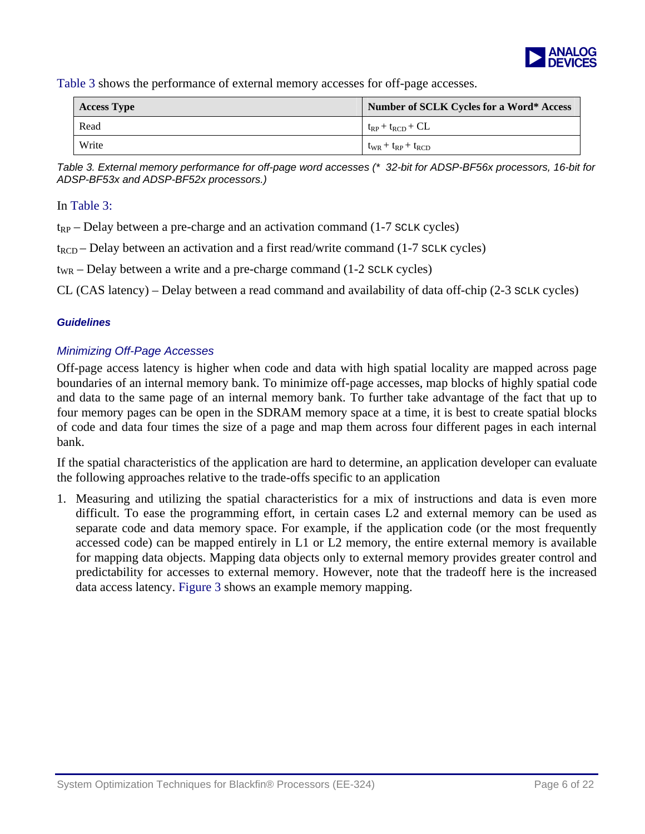

<span id="page-5-0"></span>[Table 3](#page-5-0) shows the performance of external memory accesses for off-page accesses.

| <b>Access Type</b> | Number of SCLK Cycles for a Word* Access |
|--------------------|------------------------------------------|
| Read               | $t_{RP}$ + $t_{RCD}$ + CL                |
| Write              | $t_{WR} + t_{RP} + t_{RCD}$              |

*Table 3. External memory performance for off-page word accesses (\* 32-bit for ADSP-BF56x processors, 16-bit for ADSP-BF53x and ADSP-BF52x processors.)* 

#### In [Table 3](#page-5-0):

 $t_{RP}$  – Delay between a pre-charge and an activation command (1-7 SCLK cycles)

 $t_{\text{RCD}}$  – Delay between an activation and a first read/write command (1-7 SCLK cycles)

 $t_{WR}$  – Delay between a write and a pre-charge command (1-2  $s_{CLK}$  cycles)

CL (CAS latency) – Delay between a read command and availability of data off-chip (2-3 SCLK cycles)

#### *Guidelines*

#### *Minimizing Off-Page Accesses*

Off-page access latency is higher when code and data with high spatial locality are mapped across page boundaries of an internal memory bank. To minimize off-page accesses, map blocks of highly spatial code and data to the same page of an internal memory bank. To further take advantage of the fact that up to four memory pages can be open in the SDRAM memory space at a time, it is best to create spatial blocks of code and data four times the size of a page and map them across four different pages in each internal bank.

If the spatial characteristics of the application are hard to determine, an application developer can evaluate the following approaches relative to the trade-offs specific to an application

1. Measuring and utilizing the spatial characteristics for a mix of instructions and data is even more difficult. To ease the programming effort, in certain cases L2 and external memory can be used as separate code and data memory space. For example, if the application code (or the most frequently accessed code) can be mapped entirely in L1 or L2 memory, the entire external memory is available for mapping data objects. Mapping data objects only to external memory provides greater control and predictability for accesses to external memory. However, note that the tradeoff here is the increased data access latency. [Figure 3](#page-6-0) shows an example memory mapping.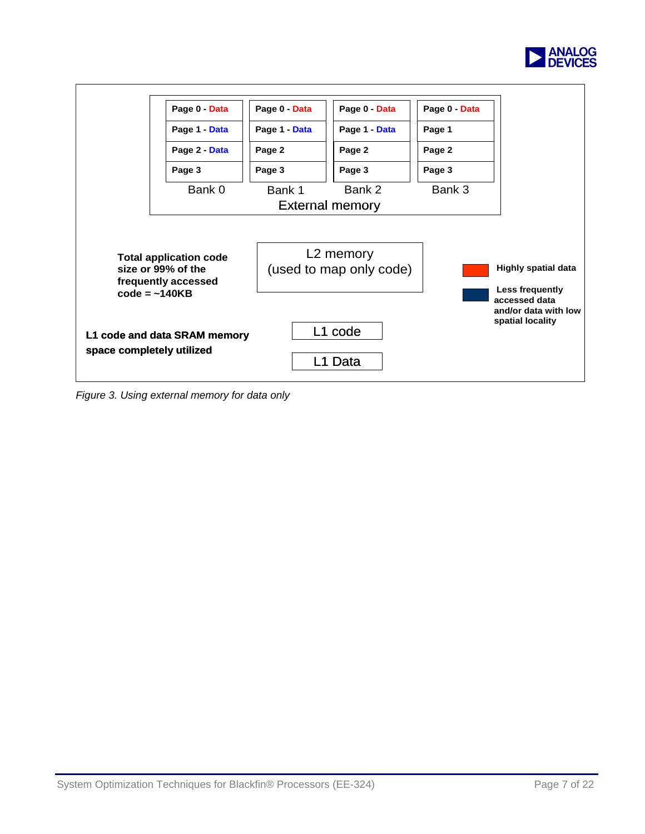

<span id="page-6-0"></span>

*Figure 3. Using external memory for data only*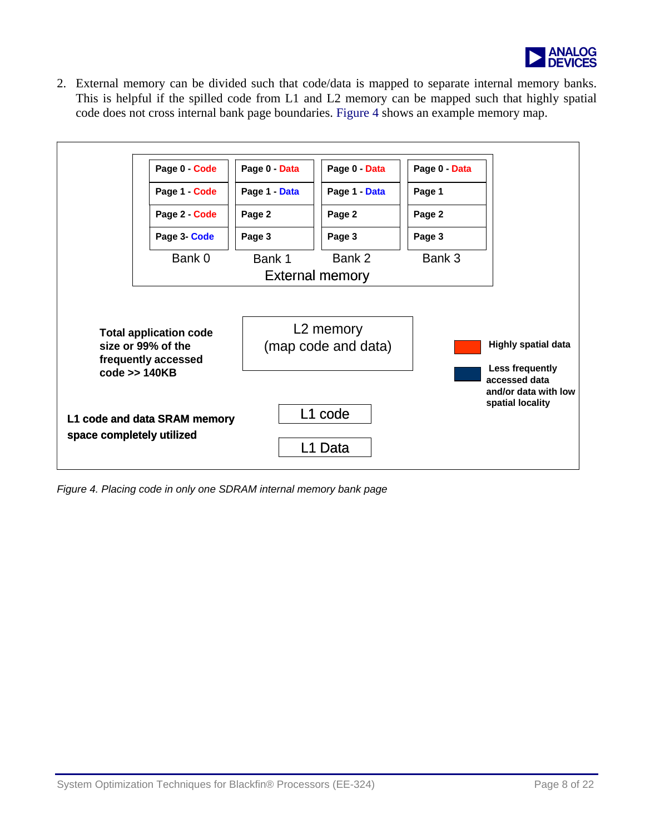

<span id="page-7-0"></span>2. External memory can be divided such that code/data is mapped to separate internal memory banks. This is helpful if the spilled code from L1 and L2 memory can be mapped such that highly spatial code does not cross internal bank page boundaries. [Figure 4](#page-7-0) shows an example memory map.



*Figure 4. Placing code in only one SDRAM internal memory bank page*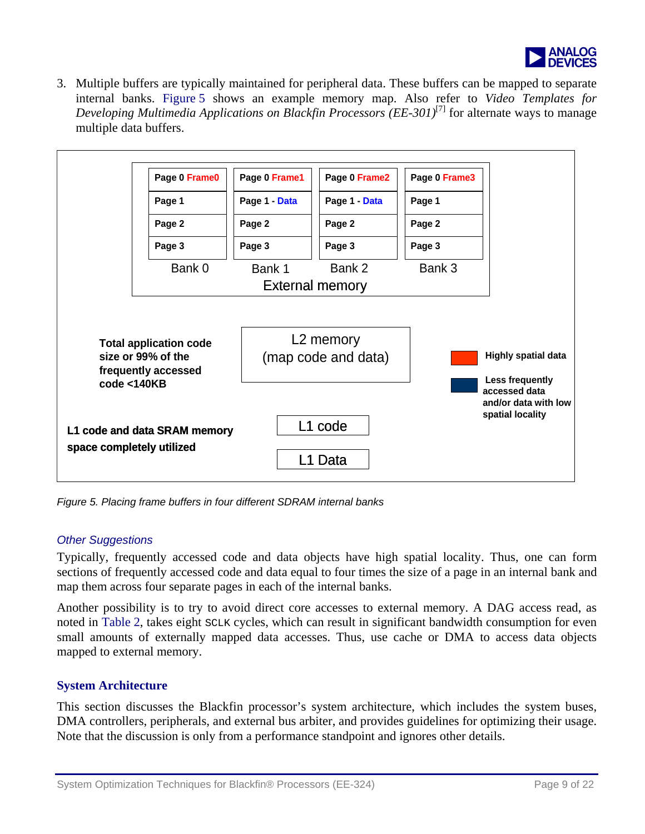

<span id="page-8-0"></span>3. Multiple buffers are typically maintained for peripheral data. These buffers can be mapped to separate internal banks. [Figure 5](#page-8-0) shows an example memory map. Also refer to *Video Templates for Developing Multimedia Applications on Blackfin Processors (EE-301)*[7] for alternate ways to manage multiple data buffers.



*Figure 5. Placing frame buffers in four different SDRAM internal banks* 

#### *Other Suggestions*

Typically, frequently accessed code and data objects have high spatial locality. Thus, one can form sections of frequently accessed code and data equal to four times the size of a page in an internal bank and map them across four separate pages in each of the internal banks.

Another possibility is to try to avoid direct core accesses to external memory. A DAG access read, as noted in [Table 2](#page-4-0), takes eight SCLK cycles, which can result in significant bandwidth consumption for even small amounts of externally mapped data accesses. Thus, use cache or DMA to access data objects mapped to external memory.

## **System Architecture**

This section discusses the Blackfin processor's system architecture, which includes the system buses, DMA controllers, peripherals, and external bus arbiter, and provides guidelines for optimizing their usage. Note that the discussion is only from a performance standpoint and ignores other details.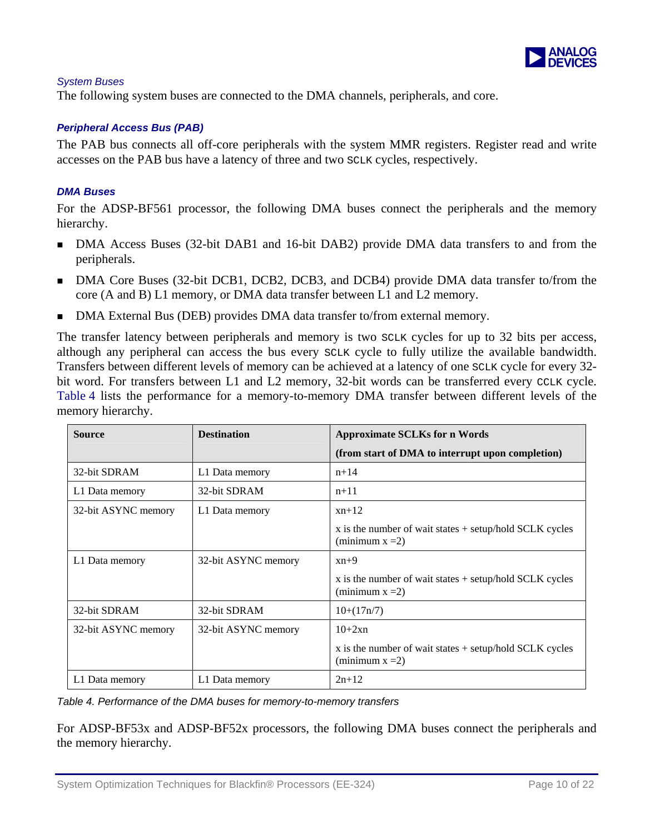

#### <span id="page-9-0"></span>*System Buses*

The following system buses are connected to the DMA channels, peripherals, and core.

#### *Peripheral Access Bus (PAB)*

The PAB bus connects all off-core peripherals with the system MMR registers. Register read and write accesses on the PAB bus have a latency of three and two SCLK cycles, respectively.

#### *DMA Buses*

For the ADSP-BF561 processor, the following DMA buses connect the peripherals and the memory hierarchy.

- DMA Access Buses (32-bit DAB1 and 16-bit DAB2) provide DMA data transfers to and from the peripherals.
- DMA Core Buses (32-bit DCB1, DCB2, DCB3, and DCB4) provide DMA data transfer to/from the core (A and B) L1 memory, or DMA data transfer between L1 and L2 memory.
- DMA External Bus (DEB) provides DMA data transfer to/from external memory.

The transfer latency between peripherals and memory is two SCLK cycles for up to 32 bits per access, although any peripheral can access the bus every SCLK cycle to fully utilize the available bandwidth. Transfers between different levels of memory can be achieved at a latency of one SCLK cycle for every 32 bit word. For transfers between L1 and L2 memory, 32-bit words can be transferred every CCLK cycle. [Table 4](#page-9-0) lists the performance for a memory-to-memory DMA transfer between different levels of the memory hierarchy.

| <b>Source</b>       | <b>Destination</b>  | <b>Approximate SCLKs for n Words</b>                                              |
|---------------------|---------------------|-----------------------------------------------------------------------------------|
|                     |                     | (from start of DMA to interrupt upon completion)                                  |
| 32-bit SDRAM        | L1 Data memory      | $n+14$                                                                            |
| L1 Data memory      | 32-bit SDRAM        | $n+11$                                                                            |
| 32-bit ASYNC memory | L1 Data memory      | $xn+12$                                                                           |
|                     |                     | x is the number of wait states $+$ setup/hold SCLK cycles<br>(minimum $x = 2$ )   |
| L1 Data memory      | 32-bit ASYNC memory | $xn+9$                                                                            |
|                     |                     | $x$ is the number of wait states $+$ setup/hold SCLK cycles<br>(minimum $x = 2$ ) |
| 32-bit SDRAM        | 32-bit SDRAM        | $10+(17n/7)$                                                                      |
| 32-bit ASYNC memory | 32-bit ASYNC memory | $10+2xn$                                                                          |
|                     |                     | x is the number of wait states $+$ setup/hold SCLK cycles<br>(minimum $x = 2$ )   |
| L1 Data memory      | L1 Data memory      | $2n+12$                                                                           |

*Table 4. Performance of the DMA buses for memory-to-memory transfers* 

For ADSP-BF53x and ADSP-BF52x processors, the following DMA buses connect the peripherals and the memory hierarchy.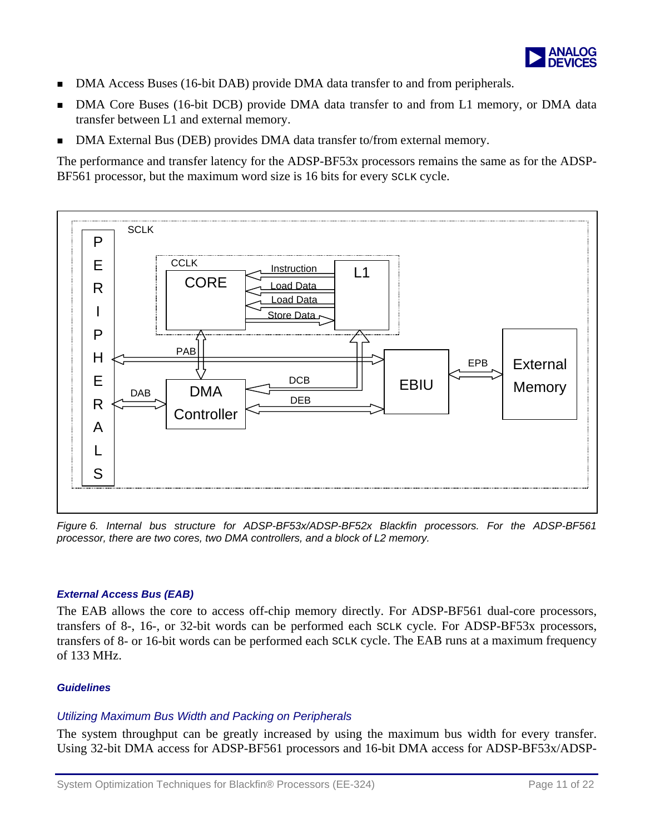

- DMA Access Buses (16-bit DAB) provide DMA data transfer to and from peripherals.
- DMA Core Buses (16-bit DCB) provide DMA data transfer to and from L1 memory, or DMA data transfer between L1 and external memory.
- DMA External Bus (DEB) provides DMA data transfer to/from external memory.

The performance and transfer latency for the ADSP-BF53x processors remains the same as for the ADSP-BF561 processor, but the maximum word size is 16 bits for every SCLK cycle.



*Figure 6. Internal bus structure for ADSP-BF53x/ADSP-BF52x Blackfin processors. For the ADSP-BF561 processor, there are two cores, two DMA controllers, and a block of L2 memory.* 

#### *External Access Bus (EAB)*

The EAB allows the core to access off-chip memory directly. For ADSP-BF561 dual-core processors, transfers of 8-, 16-, or 32-bit words can be performed each SCLK cycle. For ADSP-BF53x processors, transfers of 8- or 16-bit words can be performed each SCLK cycle. The EAB runs at a maximum frequency of 133 MHz.

#### *Guidelines*

#### *Utilizing Maximum Bus Width and Packing on Peripherals*

The system throughput can be greatly increased by using the maximum bus width for every transfer. Using 32-bit DMA access for ADSP-BF561 processors and 16-bit DMA access for ADSP-BF53x/ADSP-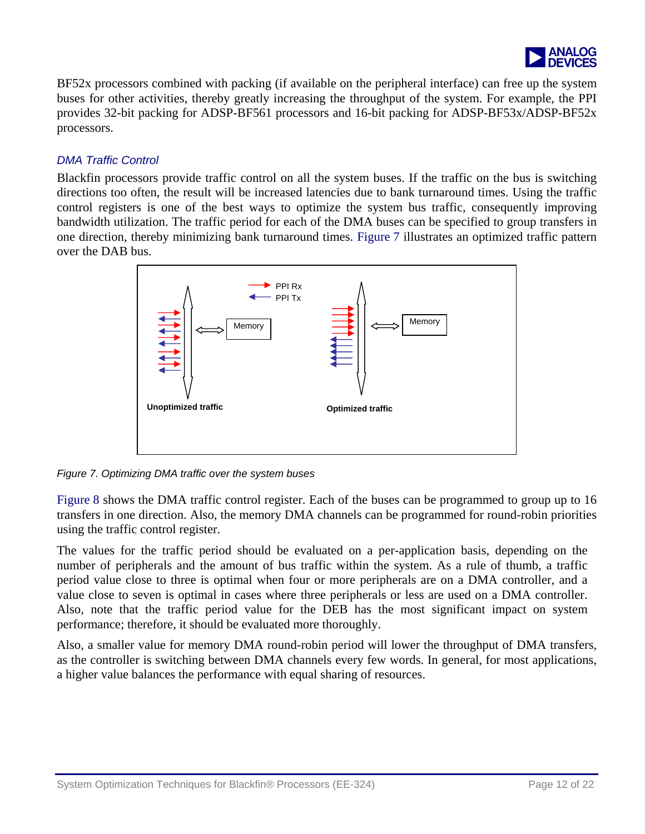

<span id="page-11-0"></span>BF52x processors combined with packing (if available on the peripheral interface) can free up the system buses for other activities, thereby greatly increasing the throughput of the system. For example, the PPI provides 32-bit packing for ADSP-BF561 processors and 16-bit packing for ADSP-BF53x/ADSP-BF52x processors.

#### *DMA Traffic Control*

Blackfin processors provide traffic control on all the system buses. If the traffic on the bus is switching directions too often, the result will be increased latencies due to bank turnaround times. Using the traffic control registers is one of the best ways to optimize the system bus traffic, consequently improving bandwidth utilization. The traffic period for each of the DMA buses can be specified to group transfers in one direction, thereby minimizing bank turnaround times. [Figure 7](#page-11-0) illustrates an optimized traffic pattern over the DAB bus.



*Figure 7. Optimizing DMA traffic over the system buses* 

[Figure 8](#page-12-0) shows the DMA traffic control register. Each of the buses can be programmed to group up to 16 transfers in one direction. Also, the memory DMA channels can be programmed for round-robin priorities using the traffic control register.

The values for the traffic period should be evaluated on a per-application basis, depending on the number of peripherals and the amount of bus traffic within the system. As a rule of thumb, a traffic period value close to three is optimal when four or more peripherals are on a DMA controller, and a value close to seven is optimal in cases where three peripherals or less are used on a DMA controller. Also, note that the traffic period value for the DEB has the most significant impact on system performance; therefore, it should be evaluated more thoroughly.

Also, a smaller value for memory DMA round-robin period will lower the throughput of DMA transfers, as the controller is switching between DMA channels every few words. In general, for most applications, a higher value balances the performance with equal sharing of resources.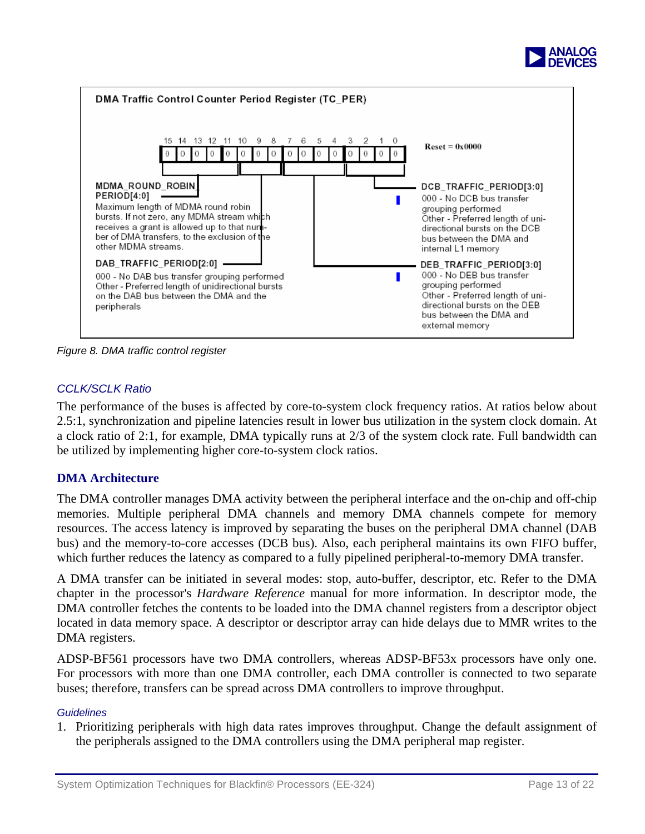

<span id="page-12-0"></span>

*Figure 8. DMA traffic control register* 

## *CCLK/SCLK Ratio*

The performance of the buses is affected by core-to-system clock frequency ratios. At ratios below about 2.5:1, synchronization and pipeline latencies result in lower bus utilization in the system clock domain. At a clock ratio of 2:1, for example, DMA typically runs at 2/3 of the system clock rate. Full bandwidth can be utilized by implementing higher core-to-system clock ratios.

## **DMA Architecture**

The DMA controller manages DMA activity between the peripheral interface and the on-chip and off-chip memories. Multiple peripheral DMA channels and memory DMA channels compete for memory resources. The access latency is improved by separating the buses on the peripheral DMA channel (DAB bus) and the memory-to-core accesses (DCB bus). Also, each peripheral maintains its own FIFO buffer, which further reduces the latency as compared to a fully pipelined peripheral-to-memory DMA transfer.

A DMA transfer can be initiated in several modes: stop, auto-buffer, descriptor, etc. Refer to the DMA chapter in the processor's *Hardware Reference* manual for more information. In descriptor mode, the DMA controller fetches the contents to be loaded into the DMA channel registers from a descriptor object located in data memory space. A descriptor or descriptor array can hide delays due to MMR writes to the DMA registers.

ADSP-BF561 processors have two DMA controllers, whereas ADSP-BF53x processors have only one. For processors with more than one DMA controller, each DMA controller is connected to two separate buses; therefore, transfers can be spread across DMA controllers to improve throughput.

#### *Guidelines*

1. Prioritizing peripherals with high data rates improves throughput. Change the default assignment of the peripherals assigned to the DMA controllers using the DMA peripheral map register.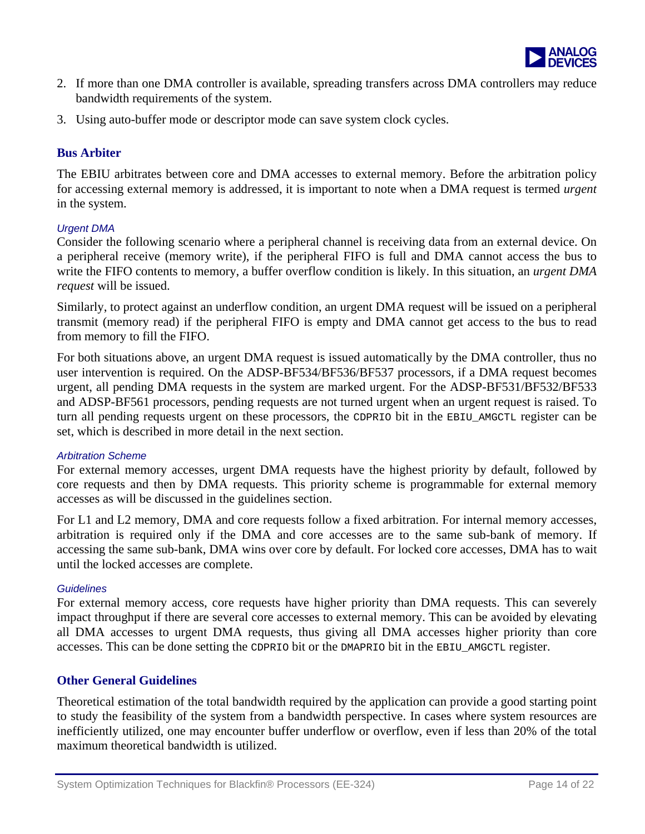

- 2. If more than one DMA controller is available, spreading transfers across DMA controllers may reduce bandwidth requirements of the system.
- 3. Using auto-buffer mode or descriptor mode can save system clock cycles.

#### **Bus Arbiter**

The EBIU arbitrates between core and DMA accesses to external memory. Before the arbitration policy for accessing external memory is addressed, it is important to note when a DMA request is termed *urgent* in the system.

#### *Urgent DMA*

Consider the following scenario where a peripheral channel is receiving data from an external device. On a peripheral receive (memory write), if the peripheral FIFO is full and DMA cannot access the bus to write the FIFO contents to memory, a buffer overflow condition is likely. In this situation, an *urgent DMA request* will be issued.

Similarly, to protect against an underflow condition, an urgent DMA request will be issued on a peripheral transmit (memory read) if the peripheral FIFO is empty and DMA cannot get access to the bus to read from memory to fill the FIFO.

For both situations above, an urgent DMA request is issued automatically by the DMA controller, thus no user intervention is required. On the ADSP-BF534/BF536/BF537 processors, if a DMA request becomes urgent, all pending DMA requests in the system are marked urgent. For the ADSP-BF531/BF532/BF533 and ADSP-BF561 processors, pending requests are not turned urgent when an urgent request is raised. To turn all pending requests urgent on these processors, the CDPRIO bit in the EBIU\_AMGCTL register can be set, which is described in more detail in the next section.

#### *Arbitration Scheme*

For external memory accesses, urgent DMA requests have the highest priority by default, followed by core requests and then by DMA requests. This priority scheme is programmable for external memory accesses as will be discussed in the guidelines section.

For L1 and L2 memory, DMA and core requests follow a fixed arbitration. For internal memory accesses, arbitration is required only if the DMA and core accesses are to the same sub-bank of memory. If accessing the same sub-bank, DMA wins over core by default. For locked core accesses, DMA has to wait until the locked accesses are complete.

#### *Guidelines*

For external memory access, core requests have higher priority than DMA requests. This can severely impact throughput if there are several core accesses to external memory. This can be avoided by elevating all DMA accesses to urgent DMA requests, thus giving all DMA accesses higher priority than core accesses. This can be done setting the CDPRIO bit or the DMAPRIO bit in the EBIU\_AMGCTL register.

#### **Other General Guidelines**

Theoretical estimation of the total bandwidth required by the application can provide a good starting point to study the feasibility of the system from a bandwidth perspective. In cases where system resources are inefficiently utilized, one may encounter buffer underflow or overflow, even if less than 20% of the total maximum theoretical bandwidth is utilized.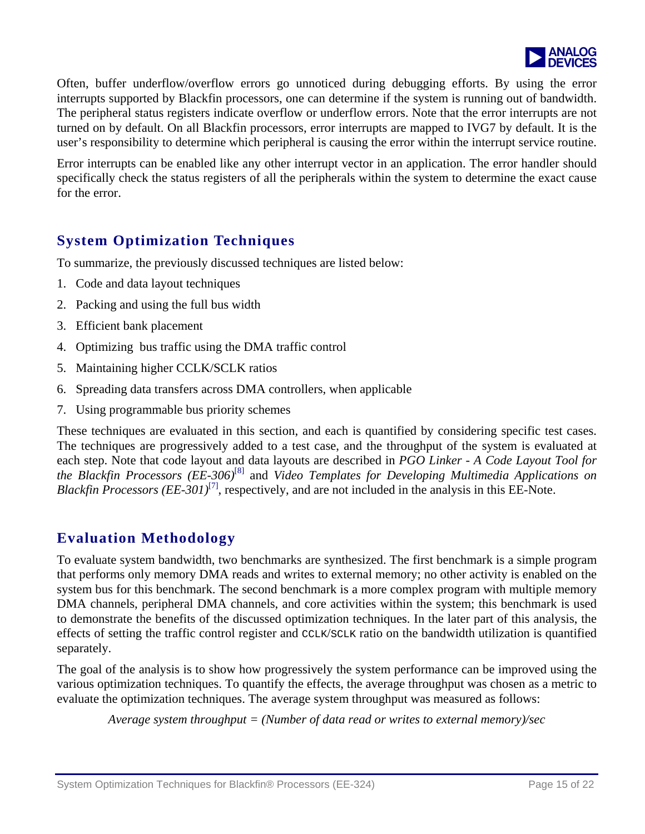

Often, buffer underflow/overflow errors go unnoticed during debugging efforts. By using the error interrupts supported by Blackfin processors, one can determine if the system is running out of bandwidth. The peripheral status registers indicate overflow or underflow errors. Note that the error interrupts are not turned on by default. On all Blackfin processors, error interrupts are mapped to IVG7 by default. It is the user's responsibility to determine which peripheral is causing the error within the interrupt service routine.

Error interrupts can be enabled like any other interrupt vector in an application. The error handler should specifically check the status registers of all the peripherals within the system to determine the exact cause for the error.

## **System Optimization Techniques**

To summarize, the previously discussed techniques are listed below:

- 1. Code and data layout techniques
- 2. Packing and using the full bus width
- 3. Efficient bank placement
- 4. Optimizing bus traffic using the DMA traffic control
- 5. Maintaining higher CCLK/SCLK ratios
- 6. Spreading data transfers across DMA controllers, when applicable
- 7. Using programmable bus priority schemes

These techniques are evaluated in this section, and each is quantified by considering specific test cases. The techniques are progressively added to a test case, and the throughput of the system is evaluated at each step. Note that code layout and data layouts are described in *PGO Linker - A Code Layout Tool for the Blackfin Processors (EE-306)*[8] and *Video Templates for Developing Multimedia Applications on Blackfin Processors (EE-301)*<sup>[7]</sup>, respectively, and are not included in the analysis in this EE-Note.

## **Evaluation Methodology**

To evaluate system bandwidth, two benchmarks are synthesized. The first benchmark is a simple program that performs only memory DMA reads and writes to external memory; no other activity is enabled on the system bus for this benchmark. The second benchmark is a more complex program with multiple memory DMA channels, peripheral DMA channels, and core activities within the system; this benchmark is used to demonstrate the benefits of the discussed optimization techniques. In the later part of this analysis, the effects of setting the traffic control register and CCLK/SCLK ratio on the bandwidth utilization is quantified separately.

The goal of the analysis is to show how progressively the system performance can be improved using the various optimization techniques. To quantify the effects, the average throughput was chosen as a metric to evaluate the optimization techniques. The average system throughput was measured as follows:

*Average system throughput = (Number of data read or writes to external memory)/sec*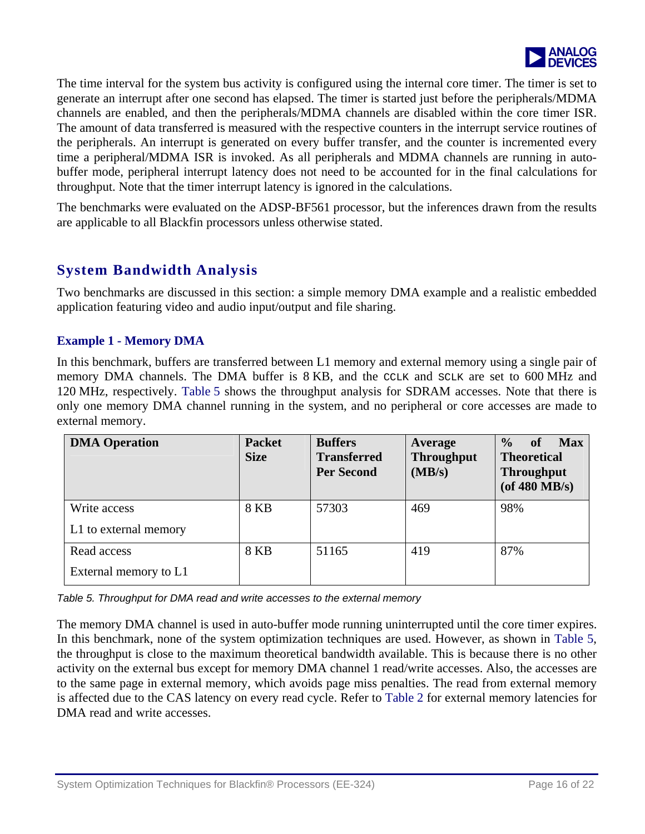

<span id="page-15-0"></span>The time interval for the system bus activity is configured using the internal core timer. The timer is set to generate an interrupt after one second has elapsed. The timer is started just before the peripherals/MDMA channels are enabled, and then the peripherals/MDMA channels are disabled within the core timer ISR. The amount of data transferred is measured with the respective counters in the interrupt service routines of the peripherals. An interrupt is generated on every buffer transfer, and the counter is incremented every time a peripheral/MDMA ISR is invoked. As all peripherals and MDMA channels are running in autobuffer mode, peripheral interrupt latency does not need to be accounted for in the final calculations for throughput. Note that the timer interrupt latency is ignored in the calculations.

The benchmarks were evaluated on the ADSP-BF561 processor, but the inferences drawn from the results are applicable to all Blackfin processors unless otherwise stated.

## **System Bandwidth Analysis**

Two benchmarks are discussed in this section: a simple memory DMA example and a realistic embedded application featuring video and audio input/output and file sharing.

#### **Example 1 - Memory DMA**

In this benchmark, buffers are transferred between L1 memory and external memory using a single pair of memory DMA channels. The DMA buffer is 8 KB, and the CCLK and SCLK are set to 600 MHz and 120 MHz, respectively. [Table 5](#page-15-0) shows the throughput analysis for SDRAM accesses. Note that there is only one memory DMA channel running in the system, and no peripheral or core accesses are made to external memory.

| <b>DMA Operation</b>  | <b>Packet</b><br><b>Size</b> | <b>Buffers</b><br><b>Transferred</b><br><b>Per Second</b> | Average<br><b>Throughput</b><br>(MB/s) | $\frac{0}{0}$<br><b>Max</b><br>of<br><b>Theoretical</b><br><b>Throughput</b><br>(of $480$ MB/s) |
|-----------------------|------------------------------|-----------------------------------------------------------|----------------------------------------|-------------------------------------------------------------------------------------------------|
| Write access          | <b>8 KB</b>                  | 57303                                                     | 469                                    | 98%                                                                                             |
| L1 to external memory |                              |                                                           |                                        |                                                                                                 |
| Read access           | <b>8 KB</b>                  | 51165                                                     | 419                                    | 87%                                                                                             |
| External memory to L1 |                              |                                                           |                                        |                                                                                                 |

*Table 5. Throughput for DMA read and write accesses to the external memory* 

The memory DMA channel is used in auto-buffer mode running uninterrupted until the core timer expires. In this benchmark, none of the system optimization techniques are used. However, as shown in [Table 5,](#page-15-0) the throughput is close to the maximum theoretical bandwidth available. This is because there is no other activity on the external bus except for memory DMA channel 1 read/write accesses. Also, the accesses are to the same page in external memory, which avoids page miss penalties. The read from external memory is affected due to the CAS latency on every read cycle. Refer to [Table 2](#page-4-0) for external memory latencies for DMA read and write accesses.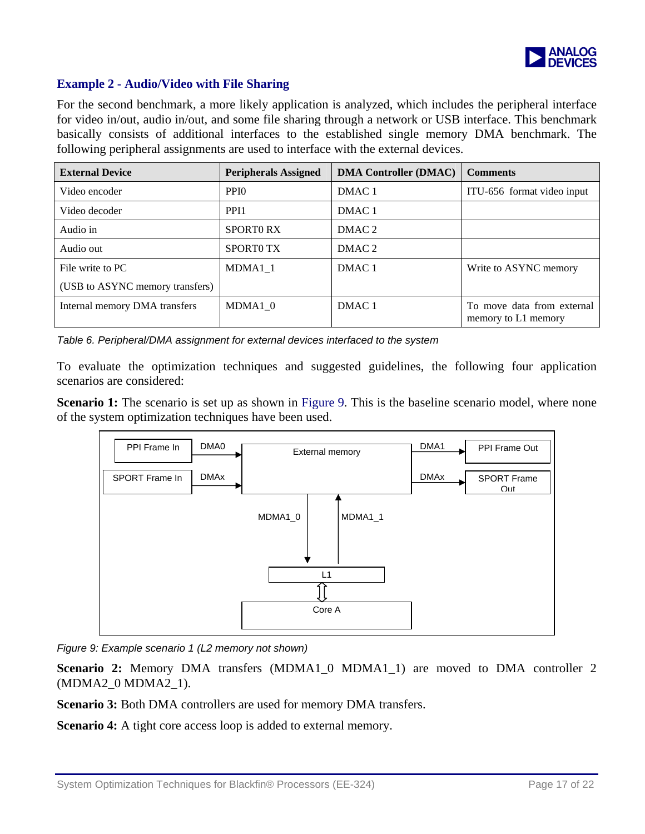

#### <span id="page-16-0"></span>**Example 2 - Audio/Video with File Sharing**

For the second benchmark, a more likely application is analyzed, which includes the peripheral interface for video in/out, audio in/out, and some file sharing through a network or USB interface. This benchmark basically consists of additional interfaces to the established single memory DMA benchmark. The following peripheral assignments are used to interface with the external devices.

| <b>External Device</b>          | <b>Peripherals Assigned</b> | <b>DMA Controller (DMAC)</b> | <b>Comments</b>                                   |
|---------------------------------|-----------------------------|------------------------------|---------------------------------------------------|
| Video encoder                   | PPI <sub>0</sub>            | DMAC <sub>1</sub>            | ITU-656 format video input                        |
| Video decoder                   | PPI <sub>1</sub>            | DMAC <sub>1</sub>            |                                                   |
| Audio in                        | <b>SPORTO RX</b>            | DMAC <sub>2</sub>            |                                                   |
| Audio out                       | <b>SPORTO TX</b>            | DMAC <sub>2</sub>            |                                                   |
| File write to PC                | MDMA1 1                     | DMAC <sub>1</sub>            | Write to ASYNC memory                             |
| (USB to ASYNC memory transfers) |                             |                              |                                                   |
| Internal memory DMA transfers   | MDMA1 0                     | DMAC <sub>1</sub>            | To move data from external<br>memory to L1 memory |

*Table 6. Peripheral/DMA assignment for external devices interfaced to the system* 

To evaluate the optimization techniques and suggested guidelines, the following four application scenarios are considered:

**Scenario 1:** The scenario is set up as shown in [Figure 9.](#page-16-0) This is the baseline scenario model, where none of the system optimization techniques have been used.



*Figure 9: Example scenario 1 (L2 memory not shown)* 

**Scenario 2:** Memory DMA transfers (MDMA1\_0 MDMA1\_1) are moved to DMA controller 2 (MDMA2\_0 MDMA2\_1).

**Scenario 3:** Both DMA controllers are used for memory DMA transfers.

**Scenario 4:** A tight core access loop is added to external memory.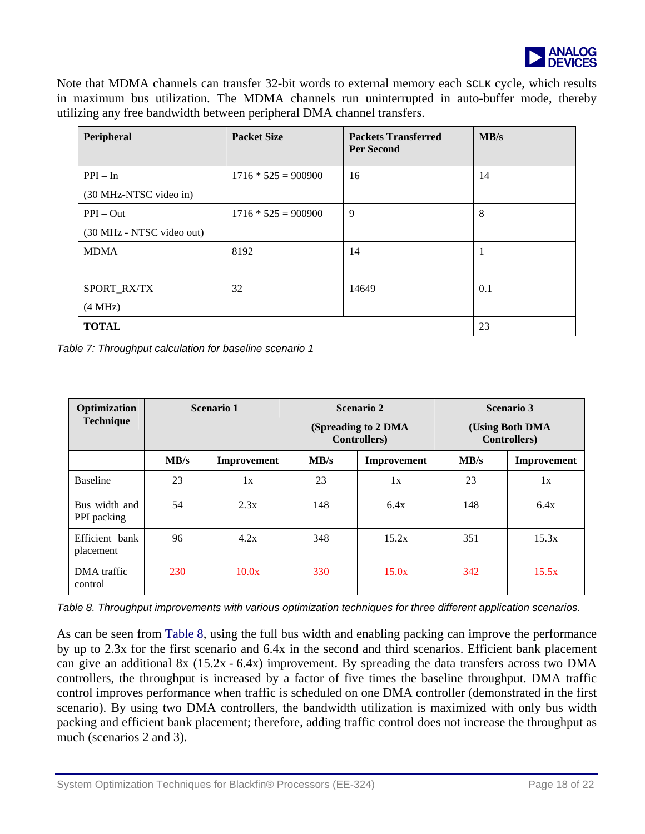

<span id="page-17-0"></span>Note that MDMA channels can transfer 32-bit words to external memory each sclk cycle, which results in maximum bus utilization. The MDMA channels run uninterrupted in auto-buffer mode, thereby utilizing any free bandwidth between peripheral DMA channel transfers.

| Peripheral                | <b>Packet Size</b>    | <b>Packets Transferred</b><br><b>Per Second</b> | MB/s |
|---------------------------|-----------------------|-------------------------------------------------|------|
| $PPI - In$                | $1716 * 525 = 900900$ | 16                                              | 14   |
| (30 MHz-NTSC video in)    |                       |                                                 |      |
| $PPI - Out$               | $1716 * 525 = 900900$ | 9                                               | 8    |
| (30 MHz - NTSC video out) |                       |                                                 |      |
| <b>MDMA</b>               | 8192                  | 14                                              |      |
|                           |                       |                                                 |      |
| SPORT_RX/TX               | 32                    | 14649                                           | 0.1  |
| (4 MHz)                   |                       |                                                 |      |
| <b>TOTAL</b>              |                       |                                                 | 23   |

*Table 7: Throughput calculation for baseline scenario 1* 

| Optimization<br><b>Technique</b> | Scenario 1 |             | <b>Scenario 2</b><br>(Spreading to 2 DMA)<br><b>Controllers</b> ) |             | <b>Scenario 3</b><br>(Using Both DMA<br><b>Controllers</b> ) |             |
|----------------------------------|------------|-------------|-------------------------------------------------------------------|-------------|--------------------------------------------------------------|-------------|
|                                  | MB/s       | Improvement | MB/s                                                              | Improvement | MB/s                                                         | Improvement |
| <b>Baseline</b>                  | 23         | 1x          | 23                                                                | 1x          | 23                                                           | 1x          |
| Bus width and<br>PPI packing     | 54         | 2.3x        | 148                                                               | 6.4x        | 148                                                          | 6.4x        |
| Efficient bank<br>placement      | 96         | 4.2x        | 348                                                               | 15.2x       | 351                                                          | 15.3x       |
| DMA traffic<br>control           | 230        | 10.0x       | 330                                                               | 15.0x       | 342                                                          | 15.5x       |

*Table 8. Throughput improvements with various optimization techniques for three different application scenarios.* 

As can be seen from [Table 8](#page-17-0), using the full bus width and enabling packing can improve the performance by up to 2.3x for the first scenario and 6.4x in the second and third scenarios. Efficient bank placement can give an additional 8x (15.2x - 6.4x) improvement. By spreading the data transfers across two DMA controllers, the throughput is increased by a factor of five times the baseline throughput. DMA traffic control improves performance when traffic is scheduled on one DMA controller (demonstrated in the first scenario). By using two DMA controllers, the bandwidth utilization is maximized with only bus width packing and efficient bank placement; therefore, adding traffic control does not increase the throughput as much (scenarios 2 and 3).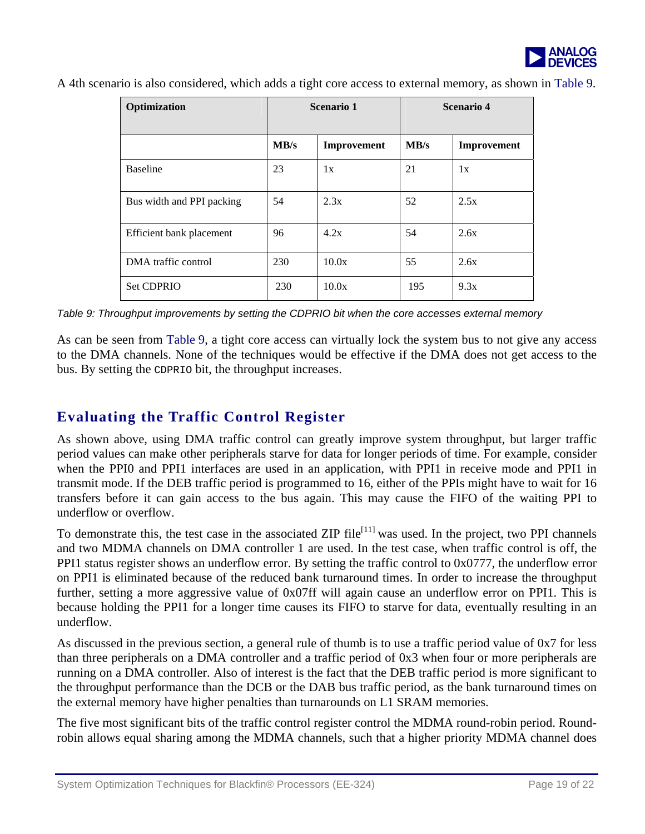

<span id="page-18-0"></span>A 4th scenario is also considered, which adds a tight core access to external memory, as shown in [Table 9.](#page-18-0)

| Optimization              | Scenario 1 |             | Scenario 4 |             |
|---------------------------|------------|-------------|------------|-------------|
|                           | MB/s       | Improvement | MB/s       | Improvement |
| <b>Baseline</b>           | 23         | 1x          | 21         | 1x          |
| Bus width and PPI packing | 54         | 2.3x        | 52         | 2.5x        |
| Efficient bank placement  | 96         | 4.2x        | 54         | 2.6x        |
| DMA traffic control       | 230        | 10.0x       | 55         | 2.6x        |
| <b>Set CDPRIO</b>         | 230        | 10.0x       | 195        | 9.3x        |

*Table 9: Throughput improvements by setting the CDPRIO bit when the core accesses external memory* 

As can be seen from Table 9, a tight core access can virtually lock the system bus to not give any access to the DMA channels. None of the techniques would be effective if the DMA does not get access to the bus. By setting the CDPRIO bit, the throughput increases.

## **Evaluating the Traffic Control Register**

As shown above, using DMA traffic control can greatly improve system throughput, but larger traffic period values can make other peripherals starve for data for longer periods of time. For example, consider when the PPI0 and PPI1 interfaces are used in an application, with PPI1 in receive mode and PPI1 in transmit mode. If the DEB traffic period is programmed to 16, either of the PPIs might have to wait for 16 transfers before it can gain access to the bus again. This may cause the FIFO of the waiting PPI to underflow or overflow.

To demonstrate this, the test case in the associated ZIP file<sup>[11]</sup> was used. In the project, two PPI channels and two MDMA channels on DMA controller 1 are used. In the test case, when traffic control is off, the PPI1 status register shows an underflow error. By setting the traffic control to 0x0777, the underflow error on PPI1 is eliminated because of the reduced bank turnaround times. In order to increase the throughput further, setting a more aggressive value of 0x07ff will again cause an underflow error on PPI1. This is because holding the PPI1 for a longer time causes its FIFO to starve for data, eventually resulting in an underflow.

As discussed in the previous section, a general rule of thumb is to use a traffic period value of 0x7 for less than three peripherals on a DMA controller and a traffic period of 0x3 when four or more peripherals are running on a DMA controller. Also of interest is the fact that the DEB traffic period is more significant to the throughput performance than the DCB or the DAB bus traffic period, as the bank turnaround times on the external memory have higher penalties than turnarounds on L1 SRAM memories.

The five most significant bits of the traffic control register control the MDMA round-robin period. Roundrobin allows equal sharing among the MDMA channels, such that a higher priority MDMA channel does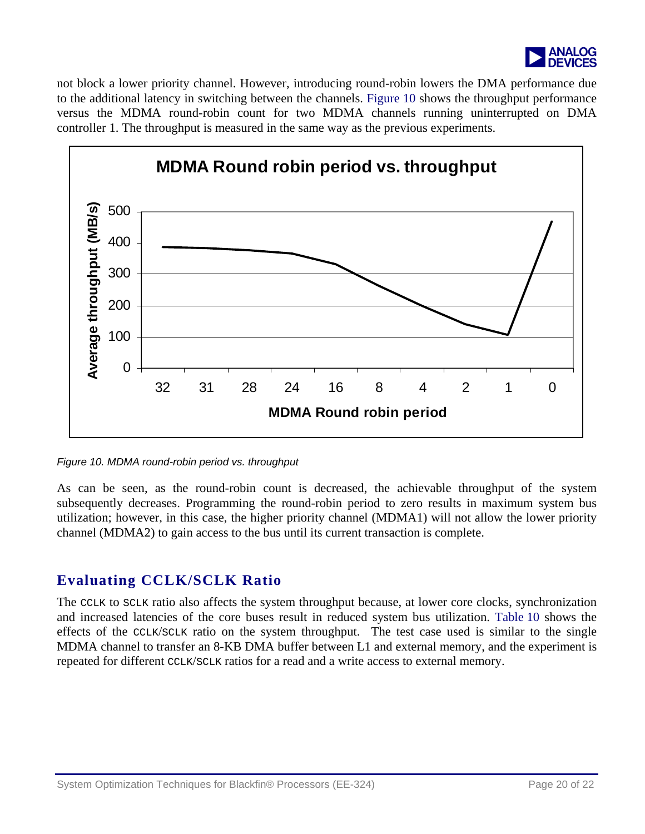

not block a lower priority channel. However, introducing round-robin lowers the DMA performance due to the additional latency in switching between the channels. Figure 10 shows the throughput performance versus the MDMA round-robin count for two MDMA channels running uninterrupted on DMA controller 1. The throughput is measured in the same way as the previous experiments.



*Figure 10. MDMA round-robin period vs. throughput* 

As can be seen, as the round-robin count is decreased, the achievable throughput of the system subsequently decreases. Programming the round-robin period to zero results in maximum system bus utilization; however, in this case, the higher priority channel (MDMA1) will not allow the lower priority channel (MDMA2) to gain access to the bus until its current transaction is complete.

## **Evaluating CCLK/SCLK Ratio**

The CCLK to SCLK ratio also affects the system throughput because, at lower core clocks, synchronization and increased latencies of the core buses result in reduced system bus utilization. Table 10 shows the effects of the CCLK/SCLK ratio on the system throughput. The test case used is similar to the single MDMA channel to transfer an 8-KB DMA buffer between L1 and external memory, and the experiment is repeated for different CCLK/SCLK ratios for a read and a write access to external memory.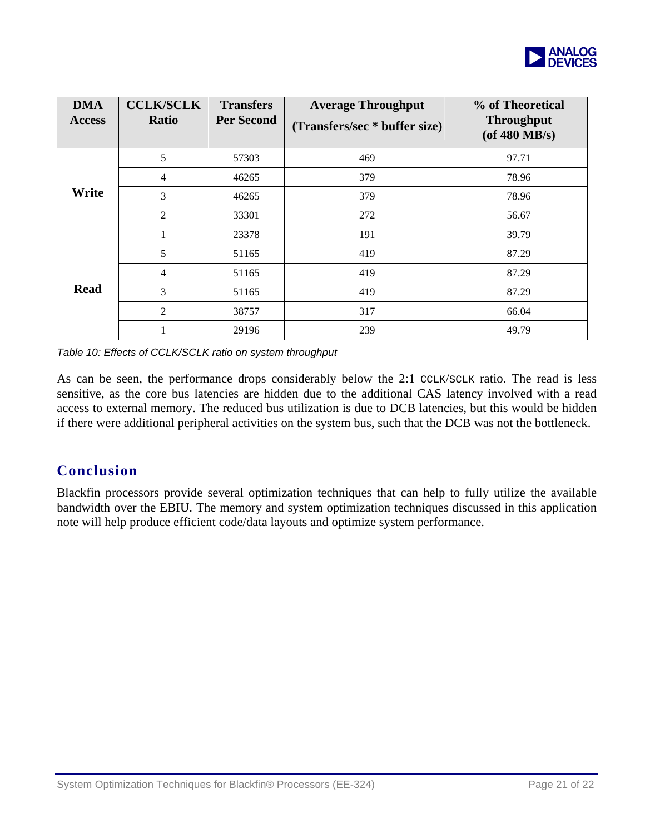

| <b>DMA</b><br><b>Access</b> | <b>CCLK/SCLK</b><br><b>Ratio</b> | <b>Transfers</b><br><b>Per Second</b> | <b>Average Throughput</b><br>(Transfers/sec * buffer size) | % of Theoretical<br><b>Throughput</b><br>(of $480$ MB/s) |
|-----------------------------|----------------------------------|---------------------------------------|------------------------------------------------------------|----------------------------------------------------------|
|                             | 5                                | 57303                                 | 469                                                        | 97.71                                                    |
|                             | $\overline{4}$                   | 46265                                 | 379                                                        | 78.96                                                    |
| Write                       | 3                                | 46265                                 | 379                                                        | 78.96                                                    |
|                             | 2                                | 33301                                 | 272                                                        | 56.67                                                    |
|                             |                                  | 23378                                 | 191                                                        | 39.79                                                    |
|                             | 5                                | 51165                                 | 419                                                        | 87.29                                                    |
|                             | $\overline{4}$                   | 51165                                 | 419                                                        | 87.29                                                    |
| <b>Read</b>                 | 3                                | 51165                                 | 419                                                        | 87.29                                                    |
|                             | 2                                | 38757                                 | 317                                                        | 66.04                                                    |
|                             |                                  | 29196                                 | 239                                                        | 49.79                                                    |

*Table 10: Effects of CCLK/SCLK ratio on system throughput* 

As can be seen, the performance drops considerably below the 2:1 CCLK/SCLK ratio. The read is less sensitive, as the core bus latencies are hidden due to the additional CAS latency involved with a read access to external memory. The reduced bus utilization is due to DCB latencies, but this would be hidden if there were additional peripheral activities on the system bus, such that the DCB was not the bottleneck.

# **Conclusion**

Blackfin processors provide several optimization techniques that can help to fully utilize the available bandwidth over the EBIU. The memory and system optimization techniques discussed in this application note will help produce efficient code/data layouts and optimize system performance.